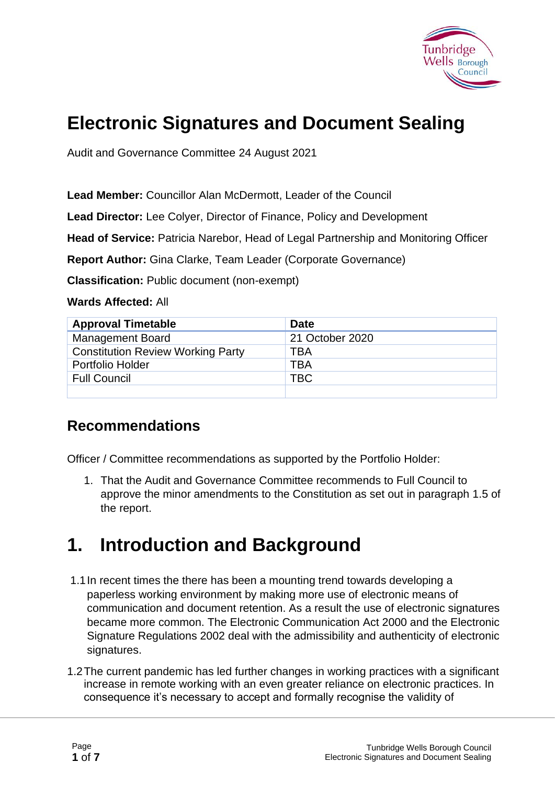

# **Electronic Signatures and Document Sealing**

Audit and Governance Committee 24 August 2021

**Lead Member:** Councillor Alan McDermott, Leader of the Council

**Lead Director:** Lee Colyer, Director of Finance, Policy and Development

**Head of Service:** Patricia Narebor, Head of Legal Partnership and Monitoring Officer

**Report Author:** Gina Clarke, Team Leader (Corporate Governance)

**Classification:** Public document (non-exempt)

**Wards Affected:** All

| <b>Approval Timetable</b>                | <b>Date</b>     |
|------------------------------------------|-----------------|
| <b>Management Board</b>                  | 21 October 2020 |
| <b>Constitution Review Working Party</b> | TBA             |
| Portfolio Holder                         | <b>TBA</b>      |
| <b>Full Council</b>                      | <b>TBC</b>      |
|                                          |                 |

#### **Recommendations**

Officer / Committee recommendations as supported by the Portfolio Holder:

1. That the Audit and Governance Committee recommends to Full Council to approve the minor amendments to the Constitution as set out in paragraph 1.5 of the report.

# **1. Introduction and Background**

- 1.1In recent times the there has been a mounting trend towards developing a paperless working environment by making more use of electronic means of communication and document retention. As a result the use of electronic signatures became more common. The Electronic Communication Act 2000 and the Electronic Signature Regulations 2002 deal with the admissibility and authenticity of electronic signatures.
- 1.2The current pandemic has led further changes in working practices with a significant increase in remote working with an even greater reliance on electronic practices. In consequence it's necessary to accept and formally recognise the validity of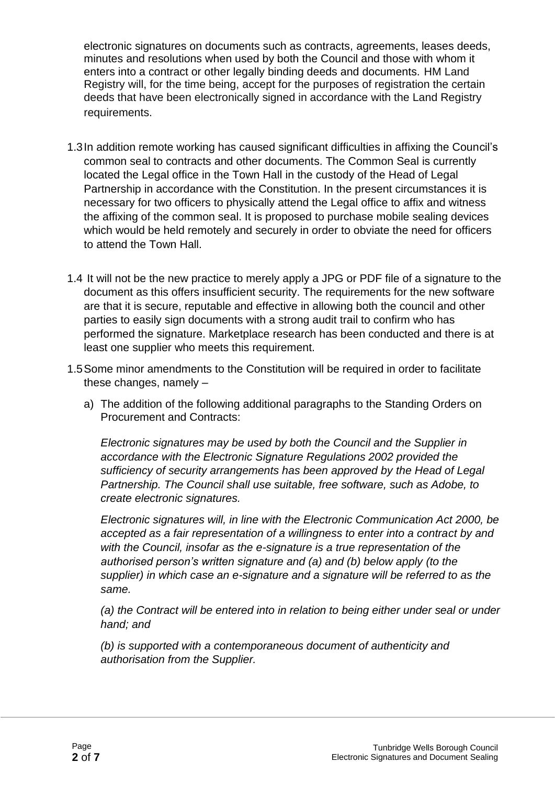electronic signatures on documents such as contracts, agreements, leases deeds, minutes and resolutions when used by both the Council and those with whom it enters into a contract or other legally binding deeds and documents. HM Land Registry will, for the time being, accept for the purposes of registration the certain deeds that have been electronically signed in accordance with the Land Registry requirements.

- 1.3In addition remote working has caused significant difficulties in affixing the Council's common seal to contracts and other documents. The Common Seal is currently located the Legal office in the Town Hall in the custody of the Head of Legal Partnership in accordance with the Constitution. In the present circumstances it is necessary for two officers to physically attend the Legal office to affix and witness the affixing of the common seal. It is proposed to purchase mobile sealing devices which would be held remotely and securely in order to obviate the need for officers to attend the Town Hall.
- 1.4 It will not be the new practice to merely apply a JPG or PDF file of a signature to the document as this offers insufficient security. The requirements for the new software are that it is secure, reputable and effective in allowing both the council and other parties to easily sign documents with a strong audit trail to confirm who has performed the signature. Marketplace research has been conducted and there is at least one supplier who meets this requirement.
- 1.5Some minor amendments to the Constitution will be required in order to facilitate these changes, namely –
	- a) The addition of the following additional paragraphs to the Standing Orders on Procurement and Contracts:

*Electronic signatures may be used by both the Council and the Supplier in accordance with the Electronic Signature Regulations 2002 provided the sufficiency of security arrangements has been approved by the Head of Legal Partnership. The Council shall use suitable, free software, such as Adobe, to create electronic signatures.*

*Electronic signatures will, in line with the Electronic Communication Act 2000, be accepted as a fair representation of a willingness to enter into a contract by and with the Council, insofar as the e-signature is a true representation of the authorised person's written signature and (a) and (b) below apply (to the supplier) in which case an e-signature and a signature will be referred to as the same.*

*(a) the Contract will be entered into in relation to being either under seal or under hand; and*

*(b) is supported with a contemporaneous document of authenticity and authorisation from the Supplier.*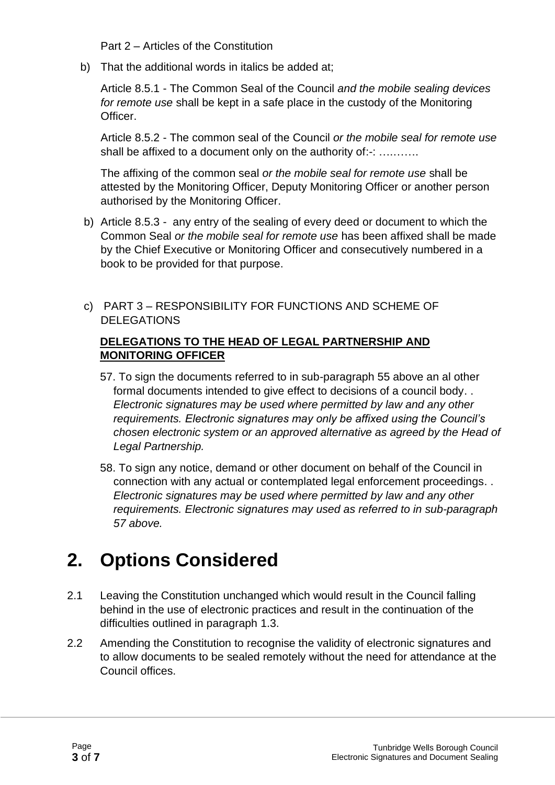Part 2 – Articles of the Constitution

b) That the additional words in italics be added at;

Article 8.5.1 - The Common Seal of the Council *and the mobile sealing devices for remote use* shall be kept in a safe place in the custody of the Monitoring Officer.

Article 8.5.2 - The common seal of the Council *or the mobile seal for remote use*  shall be affixed to a document only on the authority of:-: ...........

The affixing of the common seal *or the mobile seal for remote use* shall be attested by the Monitoring Officer, Deputy Monitoring Officer or another person authorised by the Monitoring Officer.

- b) Article 8.5.3 any entry of the sealing of every deed or document to which the Common Seal *or the mobile seal for remote use* has been affixed shall be made by the Chief Executive or Monitoring Officer and consecutively numbered in a book to be provided for that purpose.
- c) PART 3 RESPONSIBILITY FOR FUNCTIONS AND SCHEME OF **DELEGATIONS**

#### **DELEGATIONS TO THE HEAD OF LEGAL PARTNERSHIP AND MONITORING OFFICER**

- 57. To sign the documents referred to in sub-paragraph 55 above an al other formal documents intended to give effect to decisions of a council body. . *Electronic signatures may be used where permitted by law and any other requirements. Electronic signatures may only be affixed using the Council's chosen electronic system or an approved alternative as agreed by the Head of Legal Partnership.*
- 58. To sign any notice, demand or other document on behalf of the Council in connection with any actual or contemplated legal enforcement proceedings. . *Electronic signatures may be used where permitted by law and any other requirements. Electronic signatures may used as referred to in sub-paragraph 57 above.*

# **2. Options Considered**

- 2.1 Leaving the Constitution unchanged which would result in the Council falling behind in the use of electronic practices and result in the continuation of the difficulties outlined in paragraph 1.3.
- 2.2 Amending the Constitution to recognise the validity of electronic signatures and to allow documents to be sealed remotely without the need for attendance at the Council offices.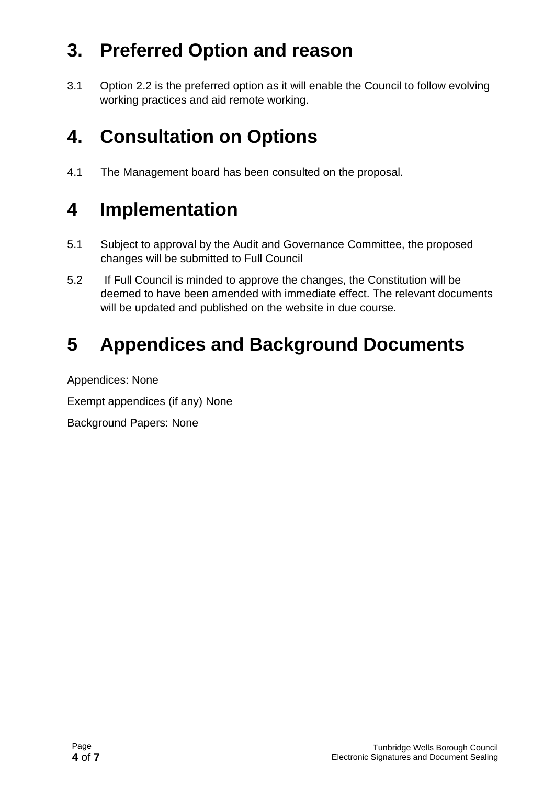# **3. Preferred Option and reason**

3.1 Option 2.2 is the preferred option as it will enable the Council to follow evolving working practices and aid remote working.

# **4. Consultation on Options**

4.1 The Management board has been consulted on the proposal.

# **4 Implementation**

- 5.1 Subject to approval by the Audit and Governance Committee, the proposed changes will be submitted to Full Council
- 5.2 If Full Council is minded to approve the changes, the Constitution will be deemed to have been amended with immediate effect. The relevant documents will be updated and published on the website in due course.

# **5 Appendices and Background Documents**

Appendices: None

Exempt appendices (if any) None

Background Papers: None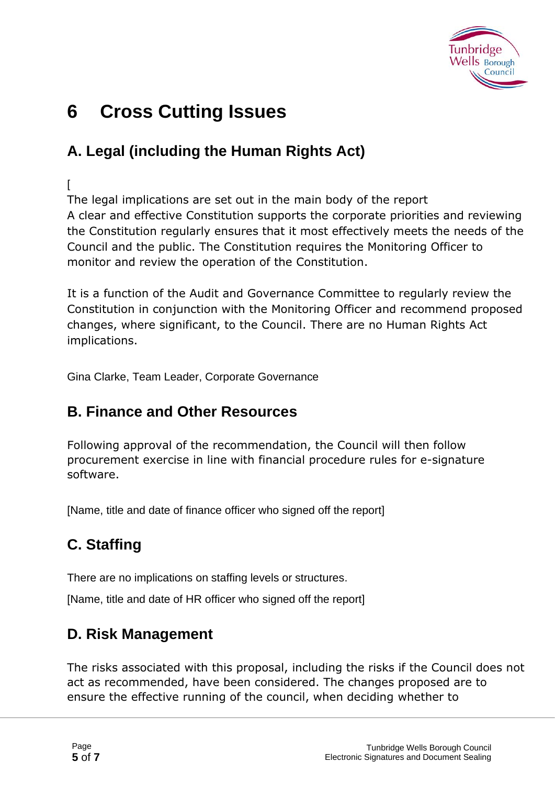

# **6 Cross Cutting Issues**

### **A. Legal (including the Human Rights Act)**

#### $\lceil$

The legal implications are set out in the main body of the report A clear and effective Constitution supports the corporate priorities and reviewing the Constitution regularly ensures that it most effectively meets the needs of the Council and the public. The Constitution requires the Monitoring Officer to monitor and review the operation of the Constitution.

It is a function of the Audit and Governance Committee to regularly review the Constitution in conjunction with the Monitoring Officer and recommend proposed changes, where significant, to the Council. There are no Human Rights Act implications.

Gina Clarke, Team Leader, Corporate Governance

### **B. Finance and Other Resources**

Following approval of the recommendation, the Council will then follow procurement exercise in line with financial procedure rules for e-signature software.

[Name, title and date of finance officer who signed off the report]

## **C. Staffing**

There are no implications on staffing levels or structures.

[Name, title and date of HR officer who signed off the report]

### **D. Risk Management**

The risks associated with this proposal, including the risks if the Council does not act as recommended, have been considered. The changes proposed are to ensure the effective running of the council, when deciding whether to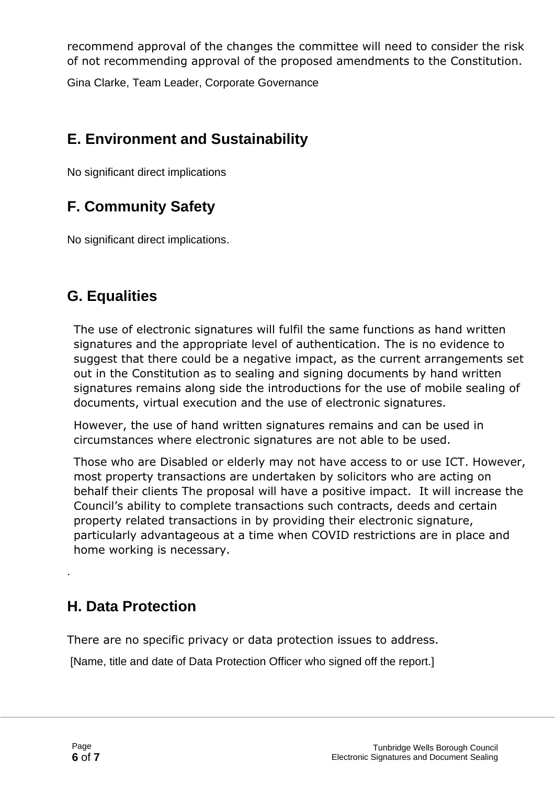recommend approval of the changes the committee will need to consider the risk of not recommending approval of the proposed amendments to the Constitution.

Gina Clarke, Team Leader, Corporate Governance

### **E. Environment and Sustainability**

No significant direct implications

## **F. Community Safety**

No significant direct implications.

### **G. Equalities**

The use of electronic signatures will fulfil the same functions as hand written signatures and the appropriate level of authentication. The is no evidence to suggest that there could be a negative impact, as the current arrangements set out in the Constitution as to sealing and signing documents by hand written signatures remains along side the introductions for the use of mobile sealing of documents, virtual execution and the use of electronic signatures.

However, the use of hand written signatures remains and can be used in circumstances where electronic signatures are not able to be used.

Those who are Disabled or elderly may not have access to or use ICT. However, most property transactions are undertaken by solicitors who are acting on behalf their clients The proposal will have a positive impact. It will increase the Council's ability to complete transactions such contracts, deeds and certain property related transactions in by providing their electronic signature, particularly advantageous at a time when COVID restrictions are in place and home working is necessary.

### **H. Data Protection**

There are no specific privacy or data protection issues to address.

[Name, title and date of Data Protection Officer who signed off the report.]

.